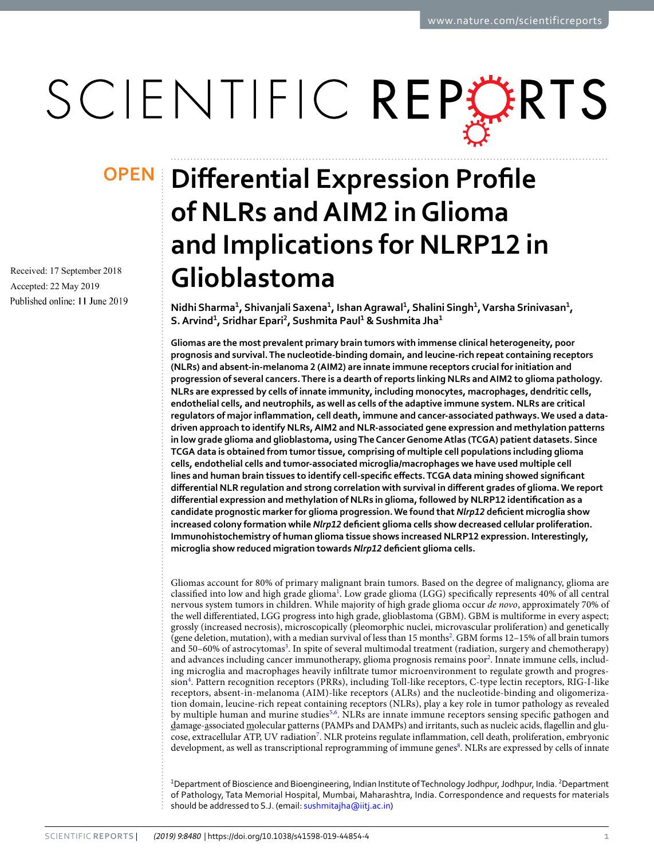# SCIENTIFIC REPERTS

Received: 17 September 2018 Accepted: 22 May 2019 Published online: 11 June 2019

## **Differential Expression Profile OPENof NLRs and AIM2 in Glioma and Implications for NLRP12 in Glioblastoma**

**Nidhi Sharma<sup>1</sup> , Shivanjali Saxena<sup>1</sup> , Ishan Agrawal<sup>1</sup> , Shalini Singh<sup>1</sup> , Varsha Srinivasan<sup>1</sup> , S. Arvind<sup>1</sup> , Sridhar Epari<sup>2</sup> , Sushmita Paul<sup>1</sup> & Sushmita Jha<sup>1</sup>**

**Gliomas are the most prevalent primary brain tumors with immense clinical heterogeneity, poor prognosis and survival. The nucleotide-binding domain, and leucine-rich repeat containing receptors (NLRs) and absent-in-melanoma 2 (AIM2) are innate immune receptors crucial for initiation and progression of several cancers. There is a dearth of reports linking NLRs and AIM2 to glioma pathology. NLRs are expressed by cells of innate immunity, including monocytes, macrophages, dendritic cells, endothelial cells, and neutrophils, as well as cells of the adaptive immune system. NLRs are critical regulators of major inflammation, cell death, immune and cancer-associated pathways. We used a datadriven approach to identify NLRs, AIM2 and NLR-associated gene expression and methylation patterns in low grade glioma and glioblastoma, using The Cancer Genome Atlas (TCGA) patient datasets. Since TCGA data is obtained from tumor tissue, comprising of multiple cell populations including glioma cells, endothelial cells and tumor-associated microglia/macrophages we have used multiple cell lines and human brain tissues to identify cell-specific effects. TCGA data mining showed significant differential NLR regulation and strong correlation with survival in different grades of glioma. We report differential expression and methylation of NLRs in glioma, followed by NLRP12 identification as a candidate prognostic marker for glioma progression. We found that** *Nlrp12* **deficient microglia show increased colony formation while** *Nlrp12* **deficient glioma cells show decreased cellular proliferation. Immunohistochemistry of human glioma tissue shows increased NLRP12 expression. Interestingly, microglia show reduced migration towards** *Nlrp12* **deficient glioma cells.**

Gliomas account for 80% of primary malignant brain tumors. Based on the degree of malignancy, glioma are classified into low and high grade glioma<sup>[1](#page-10-0)</sup>. Low grade glioma (LGG) specifically represents 40% of all central nervous system tumors in children. While majority of high grade glioma occur de novo, approximately 70% of the well differentiated, LGG progress into high grade, glioblastoma (GBM). GBM is multiforme in every aspect; grossly (increased necrosis), microscopically (pleomorphic nuclei, microvascular proliferation) and genetically (gene deletion, mutation), with a median survival of less than 15 months<sup>[2](#page-10-1)</sup>. GBM forms 12-15% of all brain tumors and 50-60% of astrocytomas<sup>[3](#page-10-2)</sup>. In spite of several multimodal treatment (radiation, surgery and chemotherapy) and advances including cancer immunotherapy, glioma prognosis remains poor<sup>[2](#page-10-1)</sup>. Innate immune cells, including microglia and macrophages heavily infiltrate tumor microenvironment to regulate growth and progres-sion<sup>[4](#page-10-3)</sup>. Pattern recognition receptors (PRRs), including Toll-like receptors, C-type lectin receptors, RIG-I-like receptors, absent-in-melanoma (AIM)-like receptors (ALRs) and the nucleotide-binding and oligomerization domain, leucine-rich repeat containing receptors (NLRs), play a key role in tumor pathology as revealed by multiple human and murine studies<sup>[5](#page-10-4)[,6](#page-10-5)</sup>. NLRs are innate immune receptors sensing specific pathogen and damage-associated molecular patterns (PAMPs and DAMPs) and irritants, such as nucleic acids, flagellin and glu-cose, extracellular ATP, UV radiation<sup>[7](#page-10-6)</sup>. NLR proteins regulate inflammation, cell death, proliferation, embryonic development, as well as transcriptional reprogramming of immune genes<sup>[8](#page-10-7)</sup>. NLRs are expressed by cells of innate

<sup>1</sup>Department of Bioscience and Bioengineering, Indian Institute of Technology Jodhpur, Jodhpur, India. <sup>2</sup>Department of Pathology, Tata Memorial Hospital, Mumbai, Maharashtra, India. Correspondence and requests for materials should be addressed to S.J. (email: [sushmitajha@iitj.ac.in\)](mailto:sushmitajha@iitj.ac.in)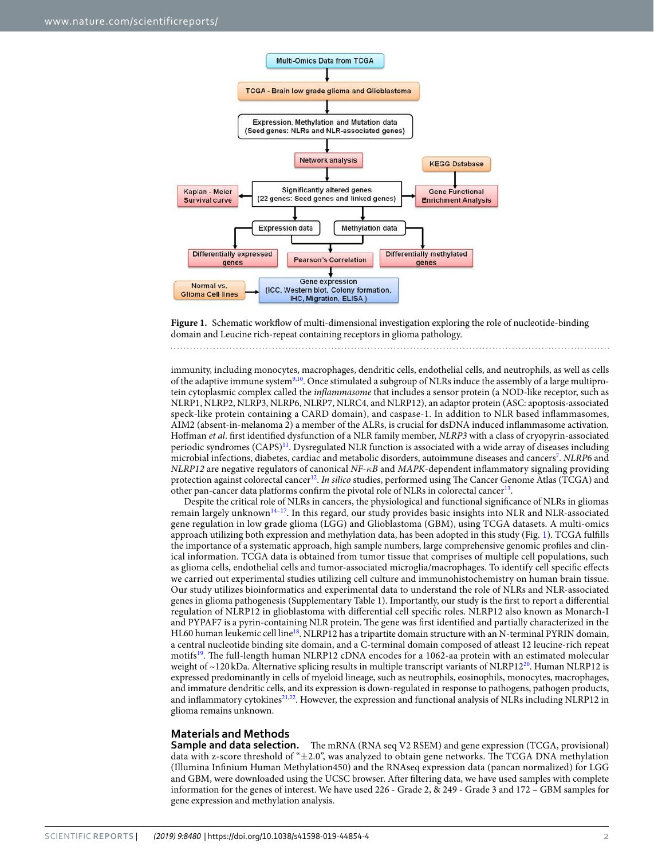

<span id="page-1-0"></span>

immunity, including monocytes, macrophages, dendritic cells, endothelial cells, and neutrophils, as well as cells of the adaptive immune system[9](#page-10-8)[,10](#page-10-9). Once stimulated a subgroup of NLRs induce the assembly of a large multiprotein cytoplasmic complex called the inflammasome that includes a sensor protein (a NOD-like receptor, such as NLRP1, NLRP2, NLRP3, NLRP6, NLRP7, NLRC4, and NLRP12), an adaptor protein (ASC: apoptosis-associated speck-like protein containing a CARD domain), and caspase-1. In addition to NLR based inflammasomes, AIM2 (absent-in-melanoma 2) a member of the ALRs, is crucial for dsDNA induced inflammasome activation. Hoffman et al. first identified dysfunction of a NLR family member, NLRP3 with a class of cryopyrin-associated periodic syndromes (CAPS)[11](#page-10-10). Dysregulated NLR function is associated with a wide array of diseases including microbial infections, diabetes, cardiac and metabolic disorders, autoimmune diseases and cancers<sup>[7](#page-10-6)</sup>. NLRP6 and NLRP12 are negative regulators of canonical NF-*κ*B and MAPK-dependent inflammatory signaling providing protection against colorectal cancer<sup>[12](#page-10-11)</sup>. In silico studies, performed using The Cancer Genome Atlas (TCGA) and other pan-cancer data platforms confirm the pivotal role of NLRs in colorectal cancer<sup>[13](#page-10-12)</sup>.

Despite the critical role of NLRs in cancers, the physiological and functional significance of NLRs in gliomas remain largely unknown[14](#page-10-13)[–17](#page-10-14). In this regard, our study provides basic insights into NLR and NLR-associated gene regulation in low grade glioma (LGG) and Glioblastoma (GBM), using TCGA datasets. A multi-omics approach utilizing both expression and methylation data, has been adopted in this study (Fig. [1](#page-1-0)). TCGA fulfills the importance of a systematic approach, high sample numbers, large comprehensive genomic profiles and clinical information. TCGA data is obtained from tumor tissue that comprises of multiple cell populations, such as glioma cells, endothelial cells and tumor-associated microglia/macrophages. To identify cell specific effects we carried out experimental studies utilizing cell culture and immunohistochemistry on human brain tissue. Our study utilizes bioinformatics and experimental data to understand the role of NLRs and NLR-associated genes in glioma pathogenesis (Supplementary Table 1). Importantly, our study is the first to report a differential regulation of NLRP12 in glioblastoma with differential cell specific roles. NLRP12 also known as Monarch-I and PYPAF7 is a pyrin-containing NLR protein. The gene was first identified and partially characterized in the HL60 human leukemic cell line<sup>[18](#page-10-15)</sup>. NLRP12 has a tripartite domain structure with an N-terminal PYRIN domain, a central nucleotide binding site domain, and a C-terminal domain composed of atleast 12 leucine-rich repeat motifs<sup>[19](#page-10-16)</sup>. The full-length human NLRP12 cDNA encodes for a 1062-aa protein with an estimated molecular weight of  $\sim$ 1[20](#page-10-17) kDa. Alternative splicing results in multiple transcript variants of NLRP12<sup>20</sup>. Human NLRP12 is expressed predominantly in cells of myeloid lineage, such as neutrophils, eosinophils, monocytes, macrophages, and immature dendritic cells, and its expression is down-regulated in response to pathogens, pathogen products, and inflammatory cytokines<sup>[21](#page-10-18),[22](#page-10-19)</sup>. However, the expression and functional analysis of NLRs including NLRP12 in glioma remains unknown.

#### **Materials and Methods**

**Sample and data selection.** The mRNA (RNA seq V2 RSEM) and gene expression (TCGA, provisional) data with z-score threshold of "±2.0", was analyzed to obtain gene networks. The TCGA DNA methylation (Illumina Infinium Human Methylation450) and the RNAseq expression data (pancan normalized) for LGG and GBM, were downloaded using the UCSC browser. After filtering data, we have used samples with complete information for the genes of interest. We have used 226 - Grade 2, & 249 - Grade 3 and 172 – GBM samples for gene expression and methylation analysis.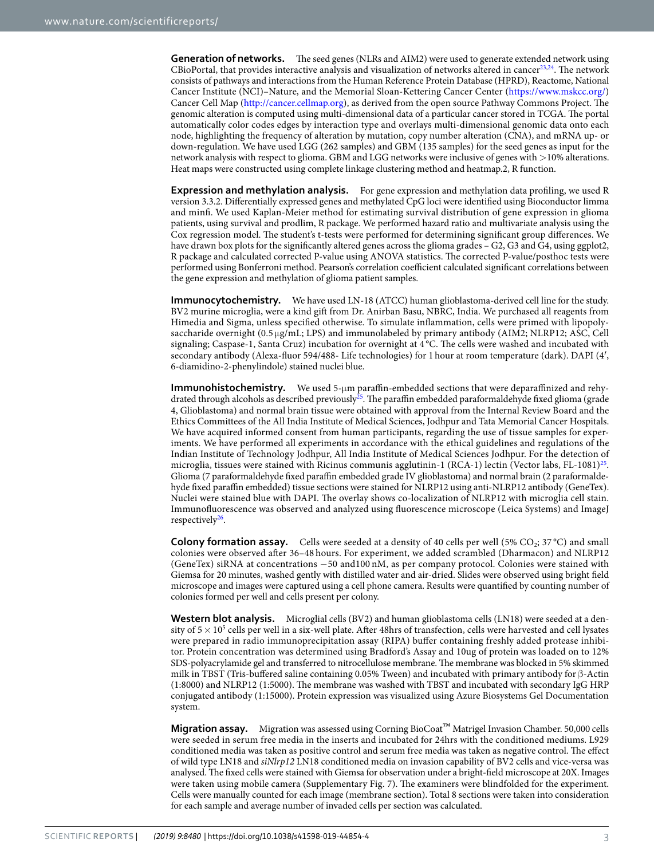**Generation of networks.** The seed genes (NLRs and AIM2) were used to generate extended network using CBioPortal, that provides interactive analysis and visualization of networks altered in cancer<sup>[23](#page-10-20),[24](#page-10-21)</sup>. The network consists of pathways and interactions from the Human Reference Protein Database (HPRD), Reactome, National Cancer Institute (NCI)–Nature, and the Memorial Sloan-Kettering Cancer Center [\(https://www.mskcc.org/\)](https://www.mskcc.org/) Cancer Cell Map [\(http://cancer.cellmap.org\)](http://cancer.cellmap.org), as derived from the open source Pathway Commons Project. The genomic alteration is computed using multi-dimensional data of a particular cancer stored in TCGA. The portal automatically color codes edges by interaction type and overlays multi-dimensional genomic data onto each node, highlighting the frequency of alteration by mutation, copy number alteration (CNA), and mRNA up- or down-regulation. We have used LGG (262 samples) and GBM (135 samples) for the seed genes as input for the network analysis with respect to glioma. GBM and LGG networks were inclusive of genes with >10% alterations. Heat maps were constructed using complete linkage clustering method and heatmap.2, R function.

**Expression and methylation analysis.** For gene expression and methylation data profiling, we used R version 3.3.2. Differentially expressed genes and methylated CpG loci were identified using Bioconductor limma and minfi. We used Kaplan-Meier method for estimating survival distribution of gene expression in glioma patients, using survival and prodlim, R package. We performed hazard ratio and multivariate analysis using the Cox regression model. The student's t-tests were performed for determining significant group differences. We have drawn box plots for the significantly altered genes across the glioma grades – G2, G3 and G4, using ggplot2, R package and calculated corrected P-value using ANOVA statistics. The corrected P-value/posthoc tests were performed using Bonferroni method. Pearson's correlation coefficient calculated significant correlations between the gene expression and methylation of glioma patient samples.

**Immunocytochemistry.** We have used LN-18 (ATCC) human glioblastoma-derived cell line for the study. BV2 murine microglia, were a kind gift from Dr. Anirban Basu, NBRC, India. We purchased all reagents from Himedia and Sigma, unless specified otherwise. To simulate inflammation, cells were primed with lipopolysaccharide overnight (0.5 µg/mL; LPS) and immunolabeled by primary antibody (AIM2; NLRP12; ASC, Cell signaling; Caspase-1, Santa Cruz) incubation for overnight at 4°C. The cells were washed and incubated with secondary antibody (Alexa-fluor 594/488- Life technologies) for 1 hour at room temperature (dark). DAPI (4′, 6-diamidino-2-phenylindole) stained nuclei blue.

**Immunohistochemistry.** We used 5-µm paraffin-embedded sections that were deparaffinized and rehy-drated through alcohols as described previously<sup>[25](#page-10-22)</sup>. The paraffin embedded paraformaldehyde fixed glioma (grade 4, Glioblastoma) and normal brain tissue were obtained with approval from the Internal Review Board and the Ethics Committees of the All India Institute of Medical Sciences, Jodhpur and Tata Memorial Cancer Hospitals. We have acquired informed consent from human participants, regarding the use of tissue samples for experiments. We have performed all experiments in accordance with the ethical guidelines and regulations of the Indian Institute of Technology Jodhpur, All India Institute of Medical Sciences Jodhpur. For the detection of microglia, tissues were stained with Ricinus communis agglutinin-1 (RCA-1) lectin (Vector labs, FL-1081)<sup>[25](#page-10-22)</sup>. Glioma (7 paraformaldehyde fixed paraffin embedded grade IV glioblastoma) and normal brain (2 paraformaldehyde fixed paraffin embedded) tissue sections were stained for NLRP12 using anti-NLRP12 antibody (GeneTex). Nuclei were stained blue with DAPI. The overlay shows co-localization of NLRP12 with microglia cell stain. Immunofluorescence was observed and analyzed using fluorescence microscope (Leica Systems) and ImageJ respectively<sup>[26](#page-10-23)</sup>.

**Colony formation assay.** Cells were seeded at a density of 40 cells per well (5% CO<sub>2</sub>; 37 °C) and small colonies were observed after 36–48 hours. For experiment, we added scrambled (Dharmacon) and NLRP12 (GeneTex) siRNA at concentrations −50 and100 nM, as per company protocol. Colonies were stained with Giemsa for 20 minutes, washed gently with distilled water and air-dried. Slides were observed using bright field microscope and images were captured using a cell phone camera. Results were quantified by counting number of colonies formed per well and cells present per colony.

**Western blot analysis.** Microglial cells (BV2) and human glioblastoma cells (LN18) were seeded at a density of  $5 \times 10^5$  cells per well in a six-well plate. After 48hrs of transfection, cells were harvested and cell lysates were prepared in radio immunoprecipitation assay (RIPA) buffer containing freshly added protease inhibitor. Protein concentration was determined using Bradford's Assay and 10ug of protein was loaded on to 12% SDS-polyacrylamide gel and transferred to nitrocellulose membrane. The membrane was blocked in 5% skimmed milk in TBST (Tris-buffered saline containing 0.05% Tween) and incubated with primary antibody for β-Actin (1:8000) and NLRP12 (1:5000). The membrane was washed with TBST and incubated with secondary IgG HRP conjugated antibody (1:15000). Protein expression was visualized using Azure Biosystems Gel Documentation system.

**Migration assay.** Migration was assessed using Corning BioCoat™ Matrigel Invasion Chamber. 50,000 cells were seeded in serum free media in the inserts and incubated for 24hrs with the conditioned mediums. L929 conditioned media was taken as positive control and serum free media was taken as negative control. The effect of wild type LN18 and siNlrp12 LN18 conditioned media on invasion capability of BV2 cells and vice-versa was analysed. The fixed cells were stained with Giemsa for observation under a bright-field microscope at 20X. Images were taken using mobile camera (Supplementary Fig. 7). The examiners were blindfolded for the experiment. Cells were manually counted for each image (membrane section). Total 8 sections were taken into consideration for each sample and average number of invaded cells per section was calculated.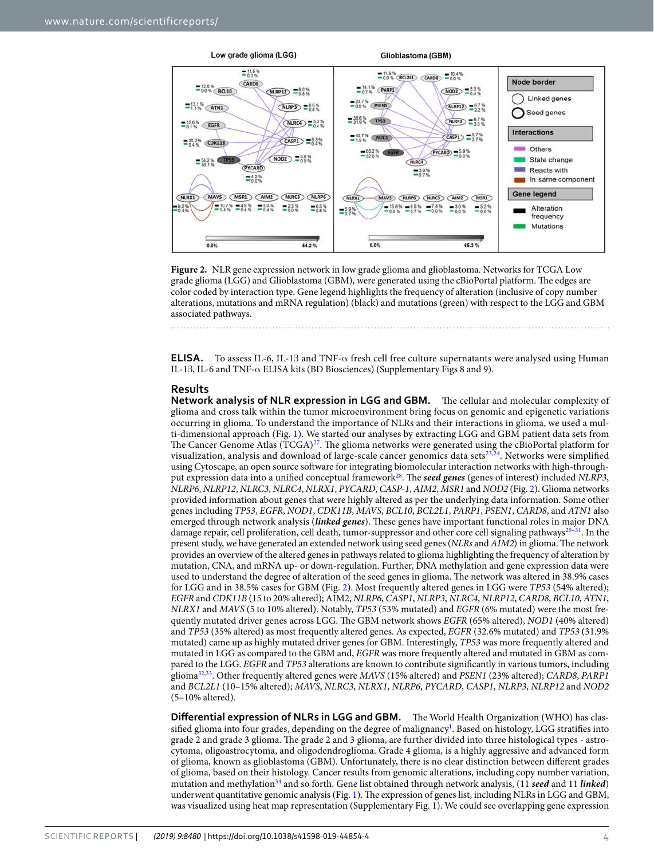

<span id="page-3-0"></span>**Figure 2.** NLR gene expression network in low grade glioma and glioblastoma. Networks for TCGA Low grade glioma (LGG) and Glioblastoma (GBM), were generated using the cBioPortal platform. The edges are color coded by interaction type. Gene legend highlights the frequency of alteration (inclusive of copy number alterations, mutations and mRNA regulation) (black) and mutations (green) with respect to the LGG and GBM associated pathways.

**ELISA.** To assess IL-6, IL-1β and TNF-α fresh cell free culture supernatants were analysed using Human IL-1β, IL-6 and TNF-α ELISA kits (BD Biosciences) (Supplementary Figs 8 and 9).

#### **Results**

**Network analysis of NLR expression in LGG and GBM.** The cellular and molecular complexity of glioma and cross talk within the tumor microenvironment bring focus on genomic and epigenetic variations occurring in glioma. To understand the importance of NLRs and their interactions in glioma, we used a multi-dimensional approach (Fig. [1](#page-1-0)). We started our analyses by extracting LGG and GBM patient data sets from The Cancer Genome Atlas  $(TCGA)^{27}$  $(TCGA)^{27}$  $(TCGA)^{27}$ . The glioma networks were generated using the cBioPortal platform for visualization, analysis and download of large-scale cancer genomics data sets[23](#page-10-20),[24](#page-10-21). Networks were simplified using Cytoscape, an open source software for integrating biomolecular interaction networks with high-throughput expression data into a unified conceptual framework[28](#page-10-25). The **seed genes** (genes of interest) included NLRP3, NLRP6, NLRP12, NLRC3, NLRC4, NLRX1, PYCARD, CASP-1, AIM2, MSR1 and NOD2 (Fig. [2\)](#page-3-0). Glioma networks provided information about genes that were highly altered as per the underlying data information. Some other genes including TP53, EGFR, NOD1, CDK11B, MAVS, BCL10, BCL2L1, PARP1, PSEN1, CARD8, and ATN1 also emerged through network analysis (**linked genes**). These genes have important functional roles in major DNA damage repair, cell proliferation, cell death, tumor-suppressor and other core cell signaling pathways<sup>[29–](#page-10-26)[31](#page-10-27)</sup>. In the present study, we have generated an extended network using seed genes (NLRs and AIM2) in glioma. The network provides an overview of the altered genes in pathways related to glioma highlighting the frequency of alteration by mutation, CNA, and mRNA up- or down-regulation. Further, DNA methylation and gene expression data were used to understand the degree of alteration of the seed genes in glioma. The network was altered in 38.9% cases for LGG and in 38.5% cases for GBM (Fig. [2](#page-3-0)). Most frequently altered genes in LGG were TP53 (54% altered); EGFR and CDK11B (15 to 20% altered); AIM2, NLRP6, CASP1, NLRP3, NLRC4, NLRP12, CARD8, BCL10, ATN1, NLRX1 and MAVS (5 to 10% altered). Notably, TP53 (53% mutated) and EGFR (6% mutated) were the most frequently mutated driver genes across LGG. The GBM network shows EGFR (65% altered), NOD1 (40% altered) and TP53 (35% altered) as most frequently altered genes. As expected, EGFR (32.6% mutated) and TP53 (31.9% mutated) came up as highly mutated driver genes for GBM. Interestingly, TP53 was more frequently altered and mutated in LGG as compared to the GBM and, EGFR was more frequently altered and mutated in GBM as compared to the LGG. EGFR and TP53 alterations are known to contribute significantly in various tumors, including glioma[32](#page-10-28)[,33](#page-10-29). Other frequently altered genes were MAVS (15% altered) and PSEN1 (23% altered); CARD8, PARP1 and BCL2L1 (10–15% altered); MAVS, NLRC3, NLRX1, NLRP6, PYCARD, CASP1, NLRP3, NLRP12 and NOD2 (5–10% altered).

**Differential expression of NLRs in LGG and GBM.** The World Health Organization (WHO) has clas-sified glioma into four grades, depending on the degree of malignancy<sup>[1](#page-10-0)</sup>. Based on histology, LGG stratifies into grade 2 and grade 3 glioma. The grade 2 and 3 glioma, are further divided into three histological types - astrocytoma, oligoastrocytoma, and oligodendroglioma. Grade 4 glioma, is a highly aggressive and advanced form of glioma, known as glioblastoma (GBM). Unfortunately, there is no clear distinction between different grades of glioma, based on their histology. Cancer results from genomic alterations, including copy number variation, mutation and methylation<sup>[34](#page-10-30)</sup> and so forth. Gene list obtained through network analysis, (11 seed and 11 *linked*) underwent quantitative genomic analysis (Fig. [1](#page-1-0)). The expression of genes list, including NLRs in LGG and GBM, was visualized using heat map representation (Supplementary Fig. 1). We could see overlapping gene expression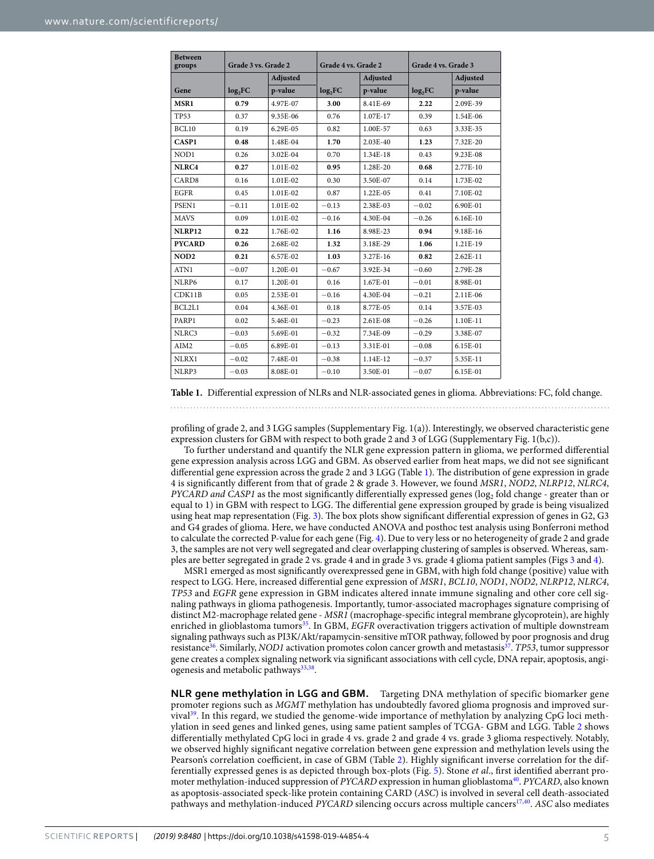<span id="page-4-0"></span>

| <b>Between</b><br>groups | Grade 3 vs. Grade 2 |          | Grade 4 vs. Grade 2 |          | Grade 4 vs. Grade 3 |            |  |
|--------------------------|---------------------|----------|---------------------|----------|---------------------|------------|--|
|                          |                     | Adjusted | Adjusted            |          |                     | Adjusted   |  |
| Gene                     | log <sub>2</sub> FC | p-value  | log <sub>2</sub> FC | p-value  | log <sub>2</sub> FC | p-value    |  |
| MSR1                     | 0.79                | 4.97E-07 | 3.00                | 8.41E-69 | 2.22                | 2.09E-39   |  |
| <b>TP53</b>              | 0.37                | 9.35E-06 | 0.76                | 1.07E-17 | 0.39                | 1.54E-06   |  |
| BCL10                    | 0.19                | 6.29E-05 | 0.82                | 1.00E-57 | 0.63                | 3.33E-35   |  |
| CASP1                    | 0.48                | 1.48E-04 | 1.70                | 2.03E-40 | 1.23                | 7.32E-20   |  |
| NOD1                     | 0.26                | 3.02E-04 | 0.70                | 1.34E-18 | 0.43                | 9.23E-08   |  |
| NLRC4                    | 0.27                | 1.01E-02 | 0.95                | 1.28E-20 | 0.68                | 2.77E-10   |  |
| CARD <sub>8</sub>        | 0.16                | 1.01E-02 | 0.30                | 3.50E-07 | 0.14                | 1.73E-02   |  |
| <b>EGFR</b>              | 0.45                | 1.01E-02 | 0.87                | 1.22E-05 | 0.41                | 7.10E-02   |  |
| PSEN1                    | $-0.11$             | 1.01E-02 | $-0.13$             | 2.38E-03 | $-0.02$             | 6.90E-01   |  |
| <b>MAVS</b>              | 0.09                | 1.01E-02 | $-0.16$             | 4.30E-04 | $-0.26$             | $6.16E-10$ |  |
| <b>NLRP12</b>            | 0.22                | 1.76E-02 | 1.16                | 8.98E-23 | 0.94                | 9.18E-16   |  |
| <b>PYCARD</b>            | 0.26                | 2.68E-02 | 1.32                | 3.18E-29 | 1.06                | 1.21E-19   |  |
| NOD <sub>2</sub>         | 0.21                | 6.57E-02 | 1.03                | 3.27E-16 | 0.82                | $2.62E-11$ |  |
| ATN1                     | $-0.07$             | 1.20E-01 | $-0.67$             | 3.92E-34 | $-0.60$             | 2.79E-28   |  |
| NLRP6                    | 0.17                | 1.20E-01 | 0.16                | 1.67E-01 | $-0.01$             | 8.98E-01   |  |
| CDK11B                   | 0.05                | 2.53E-01 | $-0.16$             | 4.30E-04 | $-0.21$             | 2.11E-06   |  |
| BCL2L1                   | 0.04                | 4.36E-01 | 0.18                | 8.77E-05 | 0.14                | 3.57E-03   |  |
| PARP1                    | 0.02                | 5.46E-01 | $-0.23$             | 2.61E-08 | $-0.26$             | 1.10E-11   |  |
| NLRC3                    | $-0.03$             | 5.69E-01 | $-0.32$             | 7.34E-09 | $-0.29$             | 3.38E-07   |  |
| AIM2                     | $-0.05$             | 6.89E-01 | $-0.13$             | 3.31E-01 | $-0.08$             | 6.15E-01   |  |
| NLRX1                    | $-0.02$             | 7.48E-01 | $-0.38$             | 1.14E-12 | $-0.37$             | 5.35E-11   |  |
| NLRP3                    | $-0.03$             | 8.08E-01 | $-0.10$             | 3.50E-01 | $-0.07$             | 6.15E-01   |  |

**Table 1.** Differential expression of NLRs and NLR-associated genes in glioma. Abbreviations: FC, fold change.

profiling of grade 2, and 3 LGG samples (Supplementary Fig. 1(a)). Interestingly, we observed characteristic gene expression clusters for GBM with respect to both grade 2 and 3 of LGG (Supplementary Fig. 1(b,c)).

To further understand and quantify the NLR gene expression pattern in glioma, we performed differential gene expression analysis across LGG and GBM. As observed earlier from heat maps, we did not see significant differential gene expression across the grade 2 and 3 LGG (Table [1\)](#page-4-0). The distribution of gene expression in grade 4 is significantly different from that of grade 2 & grade 3. However, we found MSR1, NOD2, NLRP12, NLRC4, PYCARD and CASP1 as the most significantly differentially expressed genes ( $\log_2$  fold change - greater than or equal to 1) in GBM with respect to LGG. The differential gene expression grouped by grade is being visualized using heat map representation (Fig. [3](#page-5-0)). The box plots show significant differential expression of genes in G2, G3 and G4 grades of glioma. Here, we have conducted ANOVA and posthoc test analysis using Bonferroni method to calculate the corrected P-value for each gene (Fig. [4](#page-5-1)). Due to very less or no heterogeneity of grade 2 and grade 3, the samples are not very well segregated and clear overlapping clustering of samples is observed. Whereas, samples are better segregated in grade 2 vs. grade 4 and in grade 3 vs. grade 4 glioma patient samples (Figs [3](#page-5-0) and [4\)](#page-5-1).

MSR1 emerged as most significantly overexpressed gene in GBM, with high fold change (positive) value with respect to LGG. Here, increased differential gene expression of MSR1, BCL10, NOD1, NOD2, NLRP12, NLRC4, TP53 and EGFR gene expression in GBM indicates altered innate immune signaling and other core cell signaling pathways in glioma pathogenesis. Importantly, tumor-associated macrophages signature comprising of distinct M2-macrophage related gene - MSR1 (macrophage-specific integral membrane glycoprotein), are highly enriched in glioblastoma tumors<sup>[35](#page-11-0)</sup>. In GBM, EGFR overactivation triggers activation of multiple downstream signaling pathways such as PI3K/Akt/rapamycin-sensitive mTOR pathway, followed by poor prognosis and drug resistance<sup>[36](#page-11-1)</sup>. Similarly, *NOD1* activation promotes colon cancer growth and metastasis<sup>[37](#page-11-2)</sup>. TP53, tumor suppressor gene creates a complex signaling network via significant associations with cell cycle, DNA repair, apoptosis, angi-ogenesis and metabolic pathways<sup>[33](#page-10-29),[38](#page-11-3)</sup>.

**NLR gene methylation in LGG and GBM.** Targeting DNA methylation of specific biomarker gene promoter regions such as MGMT methylation has undoubtedly favored glioma prognosis and improved survival[39](#page-11-4). In this regard, we studied the genome-wide importance of methylation by analyzing CpG loci methylation in seed genes and linked genes, using same patient samples of TCGA- GBM and LGG. Table [2](#page-6-0) shows differentially methylated CpG loci in grade 4 vs. grade 2 and grade 4 vs. grade 3 glioma respectively. Notably, we observed highly significant negative correlation between gene expression and methylation levels using the Pearson's correlation coefficient, in case of GBM (Table [2](#page-6-0)). Highly significant inverse correlation for the differentially expressed genes is as depicted through box-plots (Fig. [5](#page-6-1)). Stone et al., first identified aberrant pro-moter methylation-induced suppression of PYCARD expression in human glioblastoma<sup>[40](#page-11-5)</sup>. PYCARD, also known as apoptosis-associated speck-like protein containing CARD (ASC) is involved in several cell death-associated pathways and methylation-induced PYCARD silencing occurs across multiple cancers<sup>[17,](#page-10-14)[40](#page-11-5)</sup>. ASC also mediates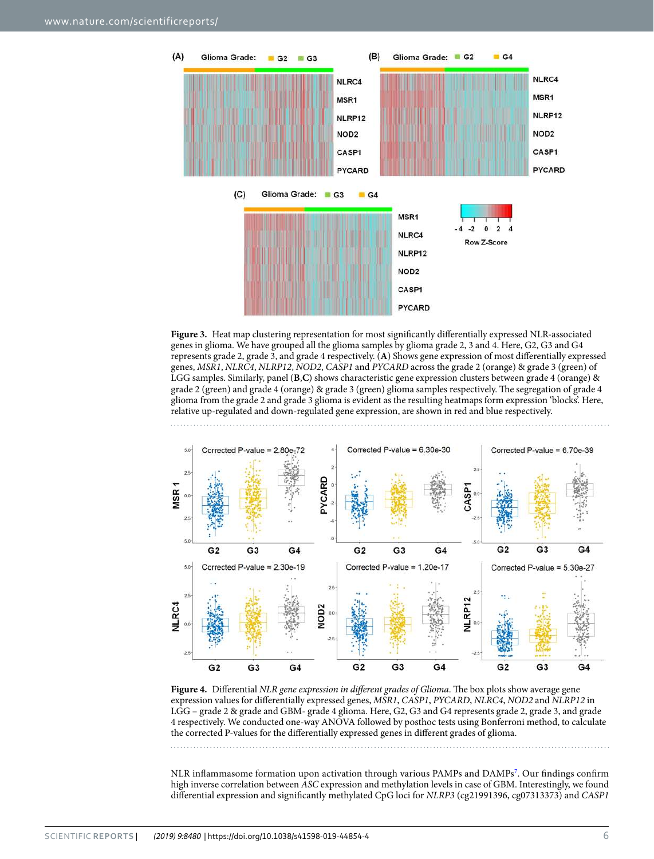

<span id="page-5-0"></span>Figure 3. Heat map clustering representation for most significantly differentially expressed NLR-associated genes in glioma. We have grouped all the glioma samples by glioma grade 2, 3 and 4. Here, G2, G3 and G4 represents grade 2, grade 3, and grade 4 respectively. (**A**) Shows gene expression of most differentially expressed genes, MSR1, NLRC4, NLRP12, NOD2, CASP1 and PYCARD across the grade 2 (orange) & grade 3 (green) of LGG samples. Similarly, panel (**B**,**C**) shows characteristic gene expression clusters between grade 4 (orange) & grade 2 (green) and grade 4 (orange) & grade 3 (green) glioma samples respectively. The segregation of grade 4 glioma from the grade 2 and grade 3 glioma is evident as the resulting heatmaps form expression 'blocks'. Here, relative up-regulated and down-regulated gene expression, are shown in red and blue respectively.



<span id="page-5-1"></span>Figure 4. Differential NLR gene expression in different grades of Glioma. The box plots show average gene expression values for differentially expressed genes, MSR1, CASP1, PYCARD, NLRC4, NOD2 and NLRP12 in LGG – grade 2 & grade and GBM- grade 4 glioma. Here, G2, G3 and G4 represents grade 2, grade 3, and grade 4 respectively. We conducted one-way ANOVA followed by posthoc tests using Bonferroni method, to calculate the corrected P-values for the differentially expressed genes in different grades of glioma.

NLR inflammasome formation upon activation through various PAMPs and DAMPs<sup>[7](#page-10-6)</sup>. Our findings confirm high inverse correlation between ASC expression and methylation levels in case of GBM. Interestingly, we found differential expression and significantly methylated CpG loci for NLRP3 (cg21991396, cg07313373) and CASP1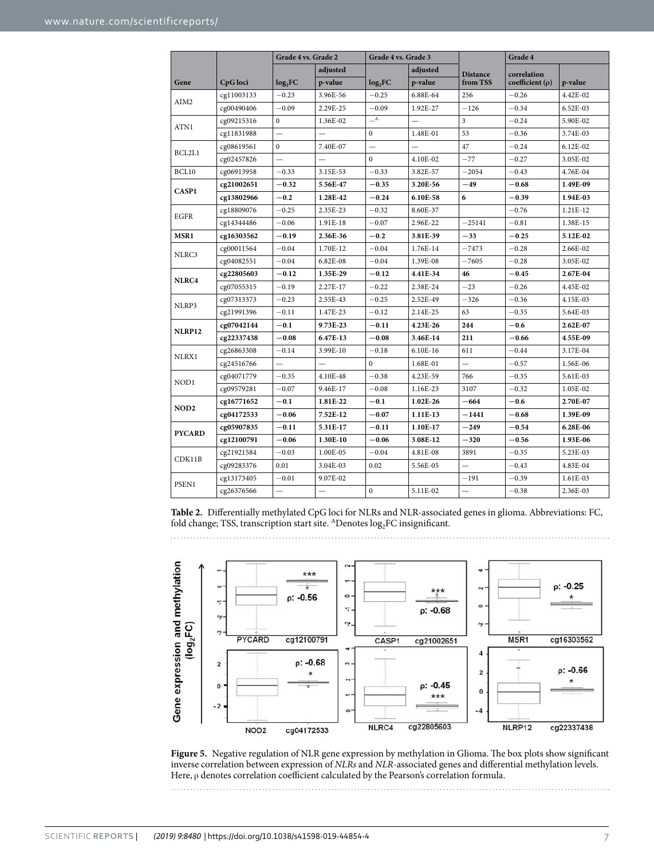<span id="page-6-0"></span>

|                                                                                                                                                                      |            | Grade 4 vs. Grade 2      |                          | Grade 4 vs. Grade 3      |                          |                          | Grade 4              |            |
|----------------------------------------------------------------------------------------------------------------------------------------------------------------------|------------|--------------------------|--------------------------|--------------------------|--------------------------|--------------------------|----------------------|------------|
|                                                                                                                                                                      |            |                          | adjusted                 |                          | adjusted                 | <b>Distance</b>          | correlation          |            |
| Gene                                                                                                                                                                 | CpG loci   | log <sub>2</sub> FC      | p-value                  | log <sub>2</sub> FC      | p-value                  | from TSS                 | coefficient $(\rho)$ | p-value    |
|                                                                                                                                                                      | cg11003133 | $-0.23$                  | 3.96E-56                 | $-0.25$                  | 6.88E-64                 | 256                      | $-0.26$              | 4.42E-02   |
|                                                                                                                                                                      | cg00490406 | $-0.09$                  | 2.29E-25                 | $-0.09$                  | 1.92E-27                 | $-126$                   | $-0.34$              | $6.52E-03$ |
|                                                                                                                                                                      | cg09215316 | $\mathbf{0}$             | 1.36E-02                 | $\mathbf{A}$             |                          | 3                        | $-0.24$              | 5.90E-02   |
|                                                                                                                                                                      | cg11831988 |                          |                          | 0                        | 1.48E-01                 | 53                       | $-0.36$              | 3.74E-03   |
|                                                                                                                                                                      | cg08619561 | $\mathbf{0}$             | 7.40E-07                 | $\overline{\phantom{0}}$ | $\overline{\phantom{0}}$ | 47                       | $-0.24$              | 6.12E-02   |
|                                                                                                                                                                      | cg02457826 | $\overline{\phantom{0}}$ |                          | $\mathbf{0}$             | 4.10E-02                 | $-77$                    | $-0.27$              | 3.05E-02   |
| BCL10                                                                                                                                                                | cg06913958 | $-0.33$                  | 3.15E-53                 | $-0.33$                  | 3.82E-57                 | $-2054$                  | $-0.43$              | 4.76E-04   |
|                                                                                                                                                                      | cg21002651 | $-0.32$                  | 5.56E-47                 | $-0.35$                  | 3.20E-56                 | $-49$                    | $-0.68$              | 1.49E-09   |
| AIM2<br>ATN1<br>BCL2L1<br>CASP1<br>EGFR<br>MSR1<br>NLRC3<br>NLRC4<br>NLRP3<br><b>NLRP12</b><br>NLRX1<br>NOD1<br>NOD <sub>2</sub><br><b>PYCARD</b><br>CDK11B<br>PSEN1 | cg13802966 | $-0.2$                   | 1.28E-42                 | $-0.24$                  | 6.10E-58                 | 6                        | $-0.39$              | 1.94E-03   |
|                                                                                                                                                                      | cg18809076 | $-0.25$                  | 2.35E-23                 | $-0.32$                  | 8.60E-37                 |                          | $-0.76$              | 1.21E-12   |
|                                                                                                                                                                      | cg14344486 | $-0.06$                  | 1.91E-18                 | $-0.07$                  | 2.96E-22                 | $-25141$                 | $-0.81$              | 1.38E-15   |
|                                                                                                                                                                      | cg16303562 | $-0.19$                  | 2.36E-36                 | $-0.2$                   | 3.81E-39                 | $-33$                    | $-0.25$              | 5.12E-02   |
|                                                                                                                                                                      | cg00011564 | $-0.04$                  | 1.70E-12                 | $-0.04$                  | 1.76E-14                 | $-7473$                  | $-0.28$              | 2.66E-02   |
|                                                                                                                                                                      | cg04082551 | $-0.04$                  | 6.82E-08                 | $-0.04$                  | 1.39E-08                 | $-7605$                  | $-0.28$              | 3.05E-02   |
|                                                                                                                                                                      | cg22805603 | $-0.12$                  | 1.35E-29                 | $-0.12$                  | 4.41E-34                 | 46                       | $-0.45$              | 2.67E-04   |
|                                                                                                                                                                      | cg07055315 | $-0.19$                  | 2.27E-17                 | $-0.22$                  | 2.38E-24                 | $-23$                    | $-0.26$              | 4.45E-02   |
|                                                                                                                                                                      | cg07313373 | $-0.23$                  | 2.55E-43                 | $-0.25$                  | 2.52E-49                 | $-326$                   | $-0.36$              | 4.15E-03   |
|                                                                                                                                                                      | cg21991396 | $-0.11$                  | 1.47E-23                 | $-0.12$                  | 2.14E-25                 | 63                       | $-0.35$              | 5.64E-03   |
|                                                                                                                                                                      | cg07042144 | $-0.1$                   | 9.73E-23                 | $-0.11$                  | 4.23E-26                 | 244                      | $-0.6$               | 2.62E-07   |
|                                                                                                                                                                      | cg22337438 | $-0.08$                  | 6.47E-13                 | $-0.08$                  | 3.46E-14                 | 211                      | $-0.66$              | 4.55E-09   |
|                                                                                                                                                                      | cg26863308 | $-0.14$                  | 3.99E-10                 | $-0.18$                  | 6.10E-16                 | 611                      | $-0.44$              | 3.17E-04   |
|                                                                                                                                                                      | cg24516766 | $\overline{\phantom{0}}$ | $\overline{\phantom{0}}$ | $\mathbf{0}$             | 1.68E-01                 | $\overline{\phantom{0}}$ | $-0.57$              | 1.56E-06   |
|                                                                                                                                                                      | cg04071779 | $-0.35$                  | 4.10E-48                 | $-0.38$                  | 4.23E-59                 | 766                      | $-0.35$              | 5.61E-03   |
|                                                                                                                                                                      | cg09579281 | $-0.07$                  | 9.46E-17                 | $-0.08$                  | 1.16E-23                 | 3107                     | $-0.32$              | 1.05E-02   |
|                                                                                                                                                                      | cg16771652 | $-0.1$                   | 1.81E-22                 | $-0.1$                   | 1.02E-26                 | $-664$                   | $-0.6$               | 2.70E-07   |
|                                                                                                                                                                      | cg04172533 | $-0.06$                  | 7.52E-12                 | $-0.07$                  | 1.11E-13                 | $-1441$                  | $-0.68$              | 1.39E-09   |
|                                                                                                                                                                      | cg05907835 | $-0.11$                  | 5.31E-17                 | $-0.11$                  | 1.10E-17                 | $-249$                   | $-0.54$              | 6.28E-06   |
|                                                                                                                                                                      | cg12100791 | $-0.06$                  | 1.30E-10                 | $-0.06$                  | 3.08E-12                 | $-320$                   | $-0.56$              | 1.93E-06   |
|                                                                                                                                                                      | cg21921584 | $-0.03$                  | 1.00E-05                 | $-0.04$                  | 4.81E-08                 | 3891                     | $-0.35$              | 5.23E-03   |
|                                                                                                                                                                      | cg09283376 | 0.01                     | 3.04E-03                 | 0.02                     | 5.56E-05                 | $\qquad \qquad$          | $-0.43$              | 4.83E-04   |
|                                                                                                                                                                      | cg13173405 | $-0.01$                  | 9.07E-02                 |                          |                          | $-191$                   | $-0.39$              | 1.61E-03   |
|                                                                                                                                                                      | cg26376566 | $\overline{\phantom{0}}$ | —                        | $\mathbf{0}$             | 5.11E-02                 |                          | $-0.38$              | 2.36E-03   |

**Table 2.** Differentially methylated CpG loci for NLRs and NLR-associated genes in glioma. Abbreviations: FC, fold change; TSS, transcription start site.  $^{A}$ Denotes  $log_{2}FC$  insignificant.



<span id="page-6-1"></span>**Figure 5.** Negative regulation of NLR gene expression by methylation in Glioma. The box plots show significant inverse correlation between expression of NLRs and NLR-associated genes and differential methylation levels. Here, ρ denotes correlation coefficient calculated by the Pearson's correlation formula.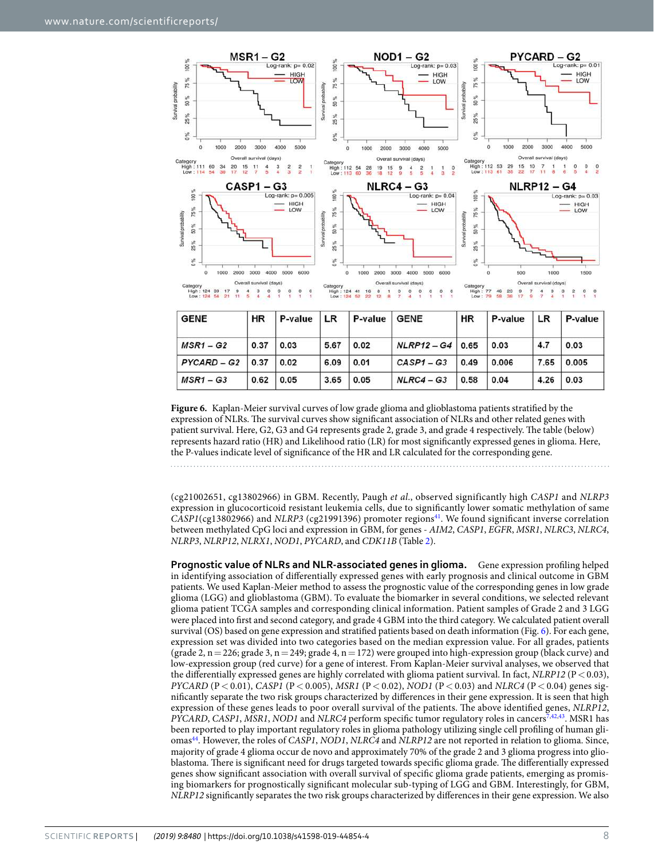

| <b>GENE</b>          | <b>NK</b> | <b>P-value</b> LR |      | ⊺ P-value ⊺ | <b>GENE</b>        | пĸ   | P-value | I LR. | r-value |
|----------------------|-----------|-------------------|------|-------------|--------------------|------|---------|-------|---------|
| $MSR1 - G2$          | 0.37      | 0.03              | 5.67 | 0.02        | $NLRP12 - G4$ 0.65 |      | 0.03    | 4.7   | 0.03    |
| $PYCARD - G2$   0.37 |           | 0.02              | 6.09 | 0.01        | $CASP1 - G3$       | 0.49 | 0.006   | 7.65  | 0.005   |
| $MSR1 - G3$          | 0.62      | 0.05              | 3.65 | 0.05        | $NLRC4 - G3$       | 0.58 | 0.04    | 4.26  | 0.03    |

<span id="page-7-0"></span>**Figure 6.** Kaplan-Meier survival curves of low grade glioma and glioblastoma patients stratified by the expression of NLRs. The survival curves show significant association of NLRs and other related genes with patient survival. Here, G2, G3 and G4 represents grade 2, grade 3, and grade 4 respectively. The table (below) represents hazard ratio (HR) and Likelihood ratio (LR) for most significantly expressed genes in glioma. Here, the P-values indicate level of significance of the HR and LR calculated for the corresponding gene.

(cg21002651, cg13802966) in GBM. Recently, Paugh et al., observed significantly high CASP1 and NLRP3 expression in glucocorticoid resistant leukemia cells, due to significantly lower somatic methylation of same  $C\hat{A}SPI(cg13802966)$  and NLRP3 (cg21991396) promoter regions<sup>[41](#page-11-6)</sup>. We found significant inverse correlation between methylated CpG loci and expression in GBM, for genes - AIM2, CASP1, EGFR, MSR1, NLRC3, NLRC4, NLRP3, NLRP12, NLRX1, NOD1, PYCARD, and CDK11B (Table [2\)](#page-6-0).

**Prognostic value of NLRs and NLR-associated genes in glioma.** Gene expression profiling helped in identifying association of differentially expressed genes with early prognosis and clinical outcome in GBM patients. We used Kaplan-Meier method to assess the prognostic value of the corresponding genes in low grade glioma (LGG) and glioblastoma (GBM). To evaluate the biomarker in several conditions, we selected relevant glioma patient TCGA samples and corresponding clinical information. Patient samples of Grade 2 and 3 LGG were placed into first and second category, and grade 4 GBM into the third category. We calculated patient overall survival (OS) based on gene expression and stratified patients based on death information (Fig. [6](#page-7-0)). For each gene, expression set was divided into two categories based on the median expression value. For all grades, patients (grade 2,  $n = 226$ ; grade 3,  $n = 249$ ; grade 4,  $n = 172$ ) were grouped into high-expression group (black curve) and low-expression group (red curve) for a gene of interest. From Kaplan-Meier survival analyses, we observed that the differentially expressed genes are highly correlated with glioma patient survival. In fact,  $NLRP12$  ( $P < 0.03$ ), PYCARD (P < 0.01), CASP1 (P < 0.005), MSR1 (P < 0.02), NOD1 (P < 0.03) and NLRC4 (P < 0.04) genes significantly separate the two risk groups characterized by differences in their gene expression. It is seen that high expression of these genes leads to poor overall survival of the patients. The above identified genes, NLRP12, PYCARD, CASP1, MSR1, NOD1 and NLRC4 perform specific tumor regulatory roles in cancers<sup>[7](#page-10-6),[42](#page-11-7),[43](#page-11-8)</sup>. MSR1 has been reported to play important regulatory roles in glioma pathology utilizing single cell profiling of human gli-omas<sup>[44](#page-11-9)</sup>. However, the roles of CASP1, NOD1, NLRC4 and NLRP12 are not reported in relation to glioma. Since, majority of grade 4 glioma occur de novo and approximately 70% of the grade 2 and 3 glioma progress into glioblastoma. There is significant need for drugs targeted towards specific glioma grade. The differentially expressed genes show significant association with overall survival of specific glioma grade patients, emerging as promising biomarkers for prognostically significant molecular sub-typing of LGG and GBM. Interestingly, for GBM, NLRP12 significantly separates the two risk groups characterized by differences in their gene expression. We also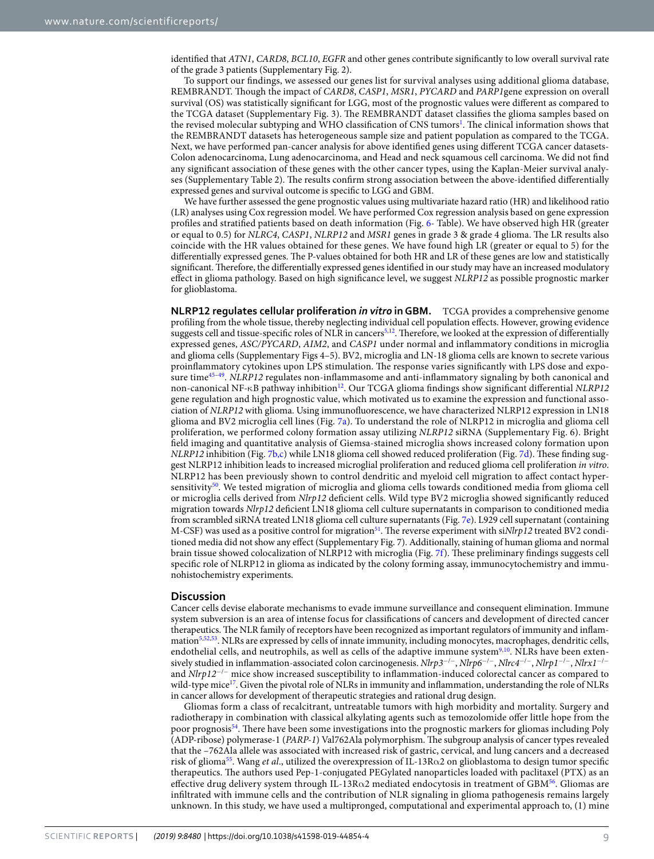identified that ATN1, CARD8, BCL10, EGFR and other genes contribute significantly to low overall survival rate of the grade 3 patients (Supplementary Fig. 2).

To support our findings, we assessed our genes list for survival analyses using additional glioma database, REMBRANDT. Though the impact of CARD8, CASP1, MSR1, PYCARD and PARP1gene expression on overall survival (OS) was statistically significant for LGG, most of the prognostic values were different as compared to the TCGA dataset (Supplementary Fig. 3). The REMBRANDT dataset classifies the glioma samples based on the revised molecular subtyping and WHO classification of CNS tumors<sup>[1](#page-10-0)</sup>. The clinical information shows that the REMBRANDT datasets has heterogeneous sample size and patient population as compared to the TCGA. Next, we have performed pan-cancer analysis for above identified genes using different TCGA cancer datasets-Colon adenocarcinoma, Lung adenocarcinoma, and Head and neck squamous cell carcinoma. We did not find any significant association of these genes with the other cancer types, using the Kaplan-Meier survival analyses (Supplementary Table 2). The results confirm strong association between the above-identified differentially expressed genes and survival outcome is specific to LGG and GBM.

We have further assessed the gene prognostic values using multivariate hazard ratio (HR) and likelihood ratio (LR) analyses using Cox regression model. We have performed Cox regression analysis based on gene expression profiles and stratified patients based on death information (Fig. [6-](#page-7-0) Table). We have observed high HR (greater or equal to 0.5) for NLRC4, CASP1, NLRP12 and MSR1 genes in grade 3 & grade 4 glioma. The LR results also coincide with the HR values obtained for these genes. We have found high LR (greater or equal to 5) for the differentially expressed genes. The P-values obtained for both HR and LR of these genes are low and statistically significant. Therefore, the differentially expressed genes identified in our study may have an increased modulatory effect in glioma pathology. Based on high significance level, we suggest NLRP12 as possible prognostic marker for glioblastoma.

**NLRP12 regulates cellular proliferation** *in vitro* **in GBM.** TCGA provides a comprehensive genome profiling from the whole tissue, thereby neglecting individual cell population effects. However, growing evidence suggests cell and tissue-specific roles of NLR in cancers<sup>[5,](#page-10-4)[12](#page-10-11)</sup>. Therefore, we looked at the expression of differentially expressed genes, ASC/PYCARD, AIM2, and CASP1 under normal and inflammatory conditions in microglia and glioma cells (Supplementary Figs 4–5). BV2, microglia and LN-18 glioma cells are known to secrete various proinflammatory cytokines upon LPS stimulation. The response varies significantly with LPS dose and expo-sure time<sup>45-[49](#page-11-11)</sup>. NLRP12 regulates non-inflammasome and anti-inflammatory signaling by both canonical and non-canonical NF-κB pathway inhibition<sup>[12](#page-10-11)</sup>. Our TCGA glioma findings show significant differential NLRP12 gene regulation and high prognostic value, which motivated us to examine the expression and functional association of NLRP12 with glioma. Using immunofluorescence, we have characterized NLRP12 expression in LN18 glioma and BV2 microglia cell lines (Fig. [7a\)](#page-9-0). To understand the role of NLRP12 in microglia and glioma cell proliferation, we performed colony formation assay utilizing NLRP12 siRNA (Supplementary Fig. 6). Bright field imaging and quantitative analysis of Giemsa-stained microglia shows increased colony formation upon NLRP12 inhibition (Fig. [7b,c](#page-9-0)) while LN18 glioma cell showed reduced proliferation (Fig. [7d\)](#page-9-0). These finding suggest NLRP12 inhibition leads to increased microglial proliferation and reduced glioma cell proliferation in vitro. NLRP12 has been previously shown to control dendritic and myeloid cell migration to affect contact hyper-sensitivity<sup>[50](#page-11-12)</sup>. We tested migration of microglia and glioma cells towards conditioned media from glioma cell or microglia cells derived from Nlrp12 deficient cells. Wild type BV2 microglia showed significantly reduced migration towards Nlrp12 deficient LN18 glioma cell culture supernatants in comparison to conditioned media from scrambled siRNA treated LN18 glioma cell culture supernatants (Fig. [7e\)](#page-9-0). L929 cell supernatant (containing M-CSF) was used as a positive control for migration<sup>[51](#page-11-13)</sup>. The reverse experiment with siNlrp12 treated BV2 conditioned media did not show any effect (Supplementary Fig. 7). Additionally, staining of human glioma and normal brain tissue showed colocalization of NLRP12 with microglia (Fig. [7f](#page-9-0)). These preliminary findings suggests cell specific role of NLRP12 in glioma as indicated by the colony forming assay, immunocytochemistry and immunohistochemistry experiments.

#### **Discussion**

Cancer cells devise elaborate mechanisms to evade immune surveillance and consequent elimination. Immune system subversion is an area of intense focus for classifications of cancers and development of directed cancer therapeutics. The NLR family of receptors have been recognized as important regulators of immunity and inflam-mation<sup>[5](#page-10-4)[,52](#page-11-14)[,53](#page-11-15)</sup>. NLRs are expressed by cells of innate immunity, including monocytes, macrophages, dendritic cells, endothelial cells, and neutrophils, as well as cells of the adaptive immune system<sup>[9](#page-10-8),[10](#page-10-9)</sup>. NLRs have been extensively studied in inflammation-associated colon carcinogenesis. Nlrp3<sup>−/−</sup>, Nlrp6<sup>−/−</sup>, Nlrc4<sup>−/−</sup>, Nlrp1<sup>−/−</sup>, Nlrx1<sup>−/−</sup> and Nlrp12<sup>−</sup>/<sup>−</sup> mice show increased susceptibility to inflammation-induced colorectal cancer as compared to wild-type mice<sup>[17](#page-10-14)</sup>. Given the pivotal role of NLRs in immunity and inflammation, understanding the role of NLRs in cancer allows for development of therapeutic strategies and rational drug design.

Gliomas form a class of recalcitrant, untreatable tumors with high morbidity and mortality. Surgery and radiotherapy in combination with classical alkylating agents such as temozolomide offer little hope from the poor prognosis[54](#page-11-16). There have been some investigations into the prognostic markers for gliomas including Poly (ADP-ribose) polymerase-1 (PARP-1) Val762Ala polymorphism. The subgroup analysis of cancer types revealed that the –762Ala allele was associated with increased risk of gastric, cervical, and lung cancers and a decreased risk of glioma<sup>[55](#page-11-17)</sup>. Wang et al., utilized the overexpression of IL-13R $\alpha$ 2 on glioblastoma to design tumor specific therapeutics. The authors used Pep-1-conjugated PEGylated nanoparticles loaded with paclitaxel (PTX) as an effective drug delivery system through IL-13R $\alpha$ 2 mediated endocytosis in treatment of GBM<sup>[56](#page-11-18)</sup>. Gliomas are infiltrated with immune cells and the contribution of NLR signaling in glioma pathogenesis remains largely unknown. In this study, we have used a multipronged, computational and experimental approach to, (1) mine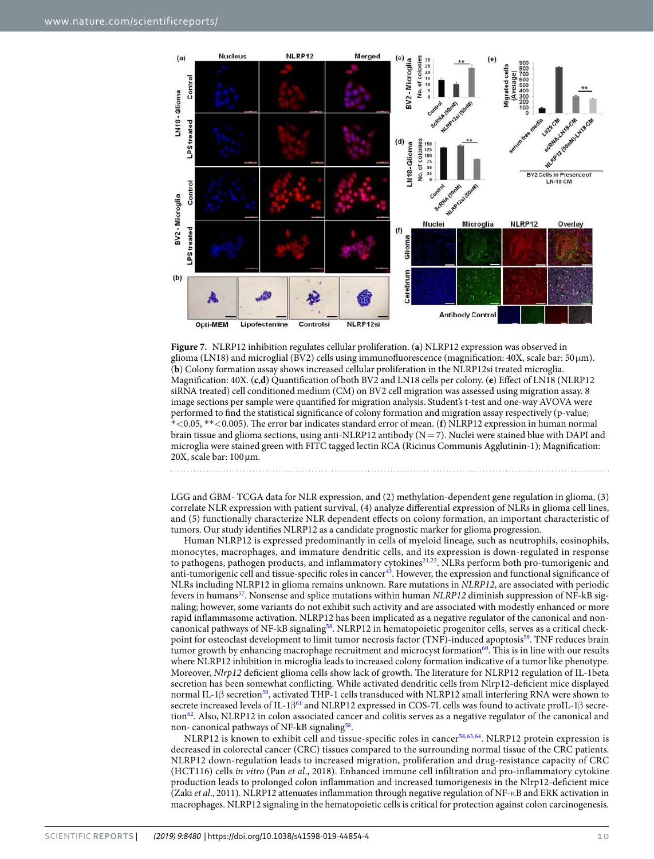

<span id="page-9-0"></span>

LGG and GBM- TCGA data for NLR expression, and (2) methylation-dependent gene regulation in glioma, (3) correlate NLR expression with patient survival, (4) analyze differential expression of NLRs in glioma cell lines, and (5) functionally characterize NLR dependent effects on colony formation, an important characteristic of tumors. Our study identifies NLRP12 as a candidate prognostic marker for glioma progression.

Human NLRP12 is expressed predominantly in cells of myeloid lineage, such as neutrophils, eosinophils, monocytes, macrophages, and immature dendritic cells, and its expression is down-regulated in response to pathogens, pathogen products, and inflammatory cytokines<sup>[21,](#page-10-18)[22](#page-10-19)</sup>. NLRs perform both pro-tumorigenic and anti-tumorigenic cell and tissue-specific roles in cancer<sup>[43](#page-11-8)</sup>. However, the expression and functional significance of NLRs including NLRP12 in glioma remains unknown. Rare mutations in NLRP12, are associated with periodic fevers in humans<sup>[57](#page-11-19)</sup>. Nonsense and splice mutations within human NLRP12 diminish suppression of NF-kB signaling; however, some variants do not exhibit such activity and are associated with modestly enhanced or more rapid inflammasome activation. NLRP12 has been implicated as a negative regulator of the canonical and non-canonical pathways of NF-kB signaling<sup>[58](#page-11-20)</sup>. NLRP12 in hematopoietic progenitor cells, serves as a critical check-point for osteoclast development to limit tumor necrosis factor (TNF)-induced apoptosis<sup>[59](#page-11-21)</sup>. TNF reduces brain tumor growth by enhancing macrophage recruitment and microcyst formation $60$ . This is in line with our results where NLRP12 inhibition in microglia leads to increased colony formation indicative of a tumor like phenotype. Moreover, Nlrp12 deficient glioma cells show lack of growth. The literature for NLRP12 regulation of IL-1beta secretion has been somewhat conflicting. While activated dendritic cells from Nlrp12‐deficient mice displayed normal IL-1β secretion<sup>[50](#page-11-12)</sup>, activated THP-1 cells transduced with NLRP12 small interfering RNA were shown to secrete increased levels of IL-1β<sup>[61](#page-11-23)</sup> and NLRP12 expressed in COS-7L cells was found to activate proIL-1β secre-tion<sup>[62](#page-11-24)</sup>. Also, NLRP12 in colon associated cancer and colitis serves as a negative regulator of the canonical and non- canonical pathways of NF-kB signaling<sup>[58](#page-11-20)</sup>.

NLRP12 is known to exhibit cell and tissue-specific roles in cancer[58,](#page-11-20)[63](#page-11-25)[,64](#page-11-26). NLRP12 protein expression is decreased in colorectal cancer (CRC) tissues compared to the surrounding normal tissue of the CRC patients. NLRP12 down-regulation leads to increased migration, proliferation and drug-resistance capacity of CRC (HCT116) cells in vitro (Pan et al., 2018). Enhanced immune cell infiltration and pro-inflammatory cytokine production leads to prolonged colon inflammation and increased tumorigenesis in the Nlrp12-deficient mice (Zaki et al., 2011). NLRP12 attenuates inflammation through negative regulation of NF-κB and ERK activation in macrophages. NLRP12 signaling in the hematopoietic cells is critical for protection against colon carcinogenesis.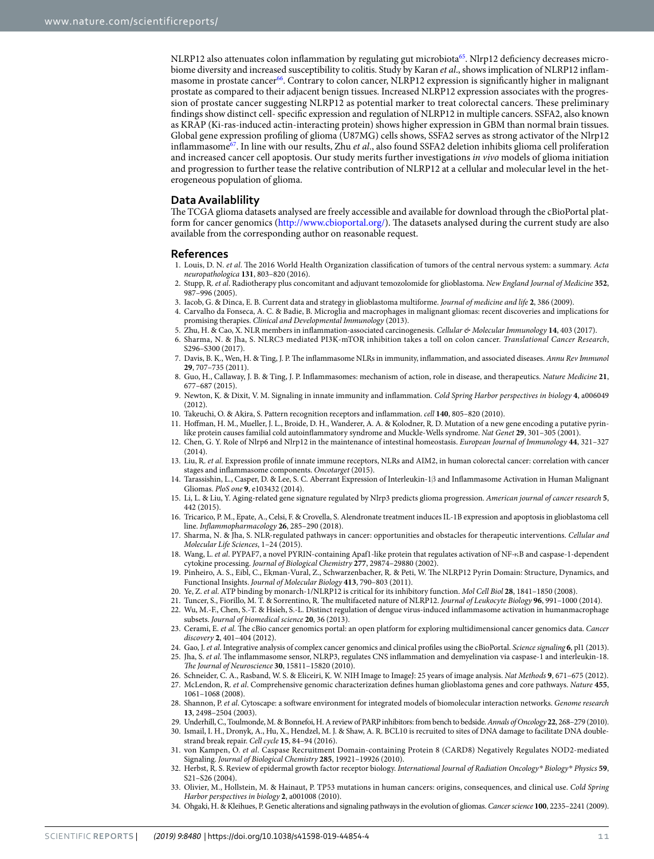NLRP12 also attenuates colon inflammation by regulating gut microbiota<sup>[65](#page-11-27)</sup>. Nlrp12 deficiency decreases microbiome diversity and increased susceptibility to colitis. Study by Karan et al., shows implication of NLRP12 inflammasome in prostate cancer[66](#page-11-28). Contrary to colon cancer, NLRP12 expression is significantly higher in malignant prostate as compared to their adjacent benign tissues. Increased NLRP12 expression associates with the progression of prostate cancer suggesting NLRP12 as potential marker to treat colorectal cancers. These preliminary findings show distinct cell- specific expression and regulation of NLRP12 in multiple cancers. SSFA2, also known as KRAP (Ki-ras-induced actin-interacting protein) shows higher expression in GBM than normal brain tissues. Global gene expression profiling of glioma (U87MG) cells shows, SSFA2 serves as strong activator of the Nlrp12 inflammasome<sup>[67](#page-11-29)</sup>. In line with our results, Zhu et al., also found SSFA2 deletion inhibits glioma cell proliferation and increased cancer cell apoptosis. Our study merits further investigations in vivo models of glioma initiation and progression to further tease the relative contribution of NLRP12 at a cellular and molecular level in the heterogeneous population of glioma.

#### **Data Availablility**

The TCGA glioma datasets analysed are freely accessible and available for download through the cBioPortal platform for cancer genomics [\(http://www.cbioportal.org/\)](http://www.cbioportal.org/). The datasets analysed during the current study are also available from the corresponding author on reasonable request.

#### **References**

- <span id="page-10-0"></span> 1. Louis, D. N. et al. The 2016 World Health Organization classification of tumors of the central nervous system: a summary. Acta neuropathologica **131**, 803–820 (2016).
- <span id="page-10-1"></span> 2. Stupp, R. et al. Radiotherapy plus concomitant and adjuvant temozolomide for glioblastoma. New England Journal of Medicine **352**, 987–996 (2005).
- <span id="page-10-2"></span>3. Iacob, G. & Dinca, E. B. Current data and strategy in glioblastoma multiforme. Journal of medicine and life **2**, 386 (2009).
- <span id="page-10-3"></span> 4. Carvalho da Fonseca, A. C. & Badie, B. Microglia and macrophages in malignant gliomas: recent discoveries and implications for promising therapies. Clinical and Developmental Immunology (2013).
- <span id="page-10-4"></span>5. Zhu, H. & Cao, X. NLR members in inflammation-associated carcinogenesis. Cellular & Molecular Immunology **14**, 403 (2017).
- <span id="page-10-5"></span> 6. Sharma, N. & Jha, S. NLRC3 mediated PI3K-mTOR inhibition takes a toll on colon cancer. Translational Cancer Research, S296–S300 (2017).
- <span id="page-10-6"></span> 7. Davis, B. K., Wen, H. & Ting, J. P. The inflammasome NLRs in immunity, inflammation, and associated diseases. Annu Rev Immunol **29**, 707–735 (2011).
- <span id="page-10-7"></span> 8. Guo, H., Callaway, J. B. & Ting, J. P. Inflammasomes: mechanism of action, role in disease, and therapeutics. Nature Medicine **21**, 677–687 (2015).
- <span id="page-10-8"></span> 9. Newton, K. & Dixit, V. M. Signaling in innate immunity and inflammation. Cold Spring Harbor perspectives in biology **4**, a006049 (2012).
- <span id="page-10-9"></span>10. Takeuchi, O. & Akira, S. Pattern recognition receptors and inflammation. cell **140**, 805–820 (2010).
- <span id="page-10-10"></span> 11. Hoffman, H. M., Mueller, J. L., Broide, D. H., Wanderer, A. A. & Kolodner, R. D. Mutation of a new gene encoding a putative pyrinlike protein causes familial cold autoinflammatory syndrome and Muckle-Wells syndrome. Nat Genet **29**, 301–305 (2001).
- <span id="page-10-11"></span> 12. Chen, G. Y. Role of Nlrp6 and Nlrp12 in the maintenance of intestinal homeostasis. European Journal of Immunology **44**, 321–327 (2014).
- <span id="page-10-12"></span>13. Liu, R. et al. Expression profile of innate immune receptors, NLRs and AIM2, in human colorectal cancer: correlation with cancer stages and inflammasome components. Oncotarget (2015).
- <span id="page-10-13"></span> 14. Tarassishin, L., Casper, D. & Lee, S. C. Aberrant Expression of Interleukin-1β and Inflammasome Activation in Human Malignant Gliomas. PloS one **9**, e103432 (2014).
- 15. Li, L. & Liu, Y. Aging-related gene signature regulated by Nlrp3 predicts glioma progression. American journal of cancer research **5**, 442 (2015).
- 16. Tricarico, P. M., Epate, A., Celsi, F. & Crovella, S. Alendronate treatment induces IL-1B expression and apoptosis in glioblastoma cell line. Inflammopharmacology **26**, 285–290 (2018).
- <span id="page-10-14"></span>17. Sharma, N. & Jha, S. NLR-regulated pathways in cancer: opportunities and obstacles for therapeutic interventions. Cellular and Molecular Life Sciences, 1–24 (2015).
- <span id="page-10-15"></span> 18. Wang, L. et al. PYPAF7, a novel PYRIN-containing Apaf1-like protein that regulates activation of NF-κB and caspase-1-dependent cytokine processing. Journal of Biological Chemistry **277**, 29874–29880 (2002).
- <span id="page-10-16"></span> 19. Pinheiro, A. S., Eibl, C., Ekman-Vural, Z., Schwarzenbacher, R. & Peti, W. The NLRP12 Pyrin Domain: Structure, Dynamics, and Functional Insights. Journal of Molecular Biology **413**, 790–803 (2011).
- <span id="page-10-17"></span>20. Ye, Z. et al. ATP binding by monarch-1/NLRP12 is critical for its inhibitory function. Mol Cell Biol **28**, 1841–1850 (2008).
- <span id="page-10-18"></span>21. Tuncer, S., Fiorillo, M. T. & Sorrentino, R. The multifaceted nature of NLRP12. Journal of Leukocyte Biology **96**, 991–1000 (2014).
- <span id="page-10-19"></span> 22. Wu, M.-F., Chen, S.-T. & Hsieh, S.-L. Distinct regulation of dengue virus-induced inflammasome activation in humanmacrophage subsets. Journal of biomedical science **20**, 36 (2013).
- <span id="page-10-20"></span>23. Cerami, E. et al. The cBio cancer genomics portal: an open platform for exploring multidimensional cancer genomics data. Cancer discovery **2**, 401–404 (2012).
- <span id="page-10-21"></span>24. Gao, J. et al. Integrative analysis of complex cancer genomics and clinical profiles using the cBioPortal. Science signaling **6**, pl1 (2013).
- <span id="page-10-22"></span> 25. Jha, S. et al. The inflammasome sensor, NLRP3, regulates CNS inflammation and demyelination via caspase-1 and interleukin-18. The Journal of Neuroscience **30**, 15811–15820 (2010).
- <span id="page-10-23"></span>26. Schneider, C. A., Rasband, W. S. & Eliceiri, K. W. NIH Image to ImageJ: 25 years of image analysis. Nat Methods **9**, 671–675 (2012).
- <span id="page-10-24"></span> 27. McLendon, R. et al. Comprehensive genomic characterization defines human glioblastoma genes and core pathways. Nature **455**, 1061–1068 (2008).
- <span id="page-10-25"></span>28. Shannon, P. et al. Cytoscape: a software environment for integrated models of biomolecular interaction networks. Genome research **13**, 2498–2504 (2003).
- <span id="page-10-26"></span>29. Underhill, C., Toulmonde, M. & Bonnefoi, H. A review of PARP inhibitors: from bench to bedside. Annals of Oncology **22**, 268–279 (2010).
- 30. Ismail, I. H., Dronyk, A., Hu, X., Hendzel, M. J. & Shaw, A. R. BCL10 is recruited to sites of DNA damage to facilitate DNA doublestrand break repair. Cell cycle **15**, 84–94 (2016).
- <span id="page-10-27"></span> 31. von Kampen, O. et al. Caspase Recruitment Domain-containing Protein 8 (CARD8) Negatively Regulates NOD2-mediated Signaling. Journal of Biological Chemistry **285**, 19921–19926 (2010).
- <span id="page-10-28"></span> 32. Herbst, R. S. Review of epidermal growth factor receptor biology. International Journal of Radiation Oncology*\** Biology*\** Physics **59**, S21-S26 (2004).
- <span id="page-10-29"></span>33. Olivier, M., Hollstein, M. & Hainaut, P. TP53 mutations in human cancers: origins, consequences, and clinical use. Cold Spring Harbor perspectives in biology **2**, a001008 (2010).
- <span id="page-10-30"></span>34. Ohgaki, H. & Kleihues, P. Genetic alterations and signaling pathways in the evolution of gliomas. Cancer science **100**, 2235–2241 (2009).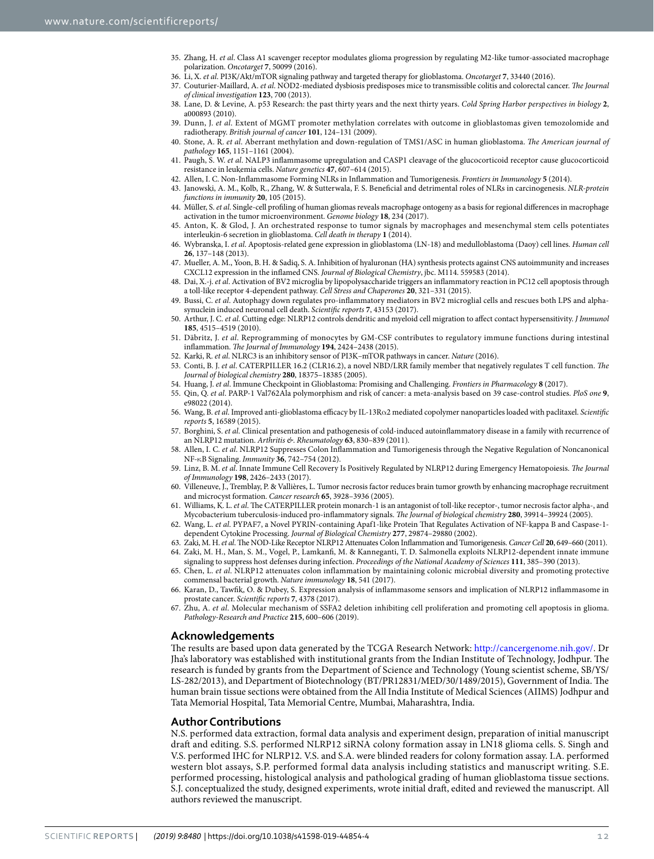- <span id="page-11-0"></span> 35. Zhang, H. et al. Class A1 scavenger receptor modulates glioma progression by regulating M2-like tumor-associated macrophage polarization. Oncotarget **7**, 50099 (2016).
- <span id="page-11-1"></span>36. Li, X. et al. PI3K/Akt/mTOR signaling pathway and targeted therapy for glioblastoma. Oncotarget **7**, 33440 (2016).
- <span id="page-11-2"></span>37. Couturier-Maillard, A. et al. NOD2-mediated dysbiosis predisposes mice to transmissible colitis and colorectal cancer. The Journal of clinical investigation **123**, 700 (2013).
- <span id="page-11-3"></span> 38. Lane, D. & Levine, A. p53 Research: the past thirty years and the next thirty years. Cold Spring Harbor perspectives in biology **2**, a000893 (2010).
- <span id="page-11-4"></span>39. Dunn, J. et al. Extent of MGMT promoter methylation correlates with outcome in glioblastomas given temozolomide and radiotherapy. British journal of cancer **101**, 124–131 (2009).
- <span id="page-11-5"></span>40. Stone, A. R. et al. Aberrant methylation and down-regulation of TMS1/ASC in human glioblastoma. The American journal of pathology **165**, 1151–1161 (2004).
- <span id="page-11-6"></span>41. Paugh, S. W. et al. NALP3 inflammasome upregulation and CASP1 cleavage of the glucocorticoid receptor cause glucocorticoid resistance in leukemia cells. Nature genetics **47**, 607–614 (2015).
- <span id="page-11-7"></span>42. Allen, I. C. Non-Inflammasome Forming NLRs in Inflammation and Tumorigenesis. Frontiers in Immunology **5** (2014).
- <span id="page-11-8"></span>43. Janowski, A. M., Kolb, R., Zhang, W. & Sutterwala, F. S. Beneficial and detrimental roles of NLRs in carcinogenesis. NLR-protein functions in immunity **20**, 105 (2015).
- <span id="page-11-9"></span> 44. Müller, S. et al. Single-cell profiling of human gliomas reveals macrophage ontogeny as a basis for regional differences in macrophage activation in the tumor microenvironment. Genome biology **18**, 234 (2017).
- <span id="page-11-10"></span> 45. Anton, K. & Glod, J. An orchestrated response to tumor signals by macrophages and mesenchymal stem cells potentiates interleukin-6 secretion in glioblastoma. Cell death in therapy **1** (2014).
- 46. Wybranska, I. et al. Apoptosis-related gene expression in glioblastoma (LN-18) and medulloblastoma (Daoy) cell lines. Human cell **26**, 137–148 (2013).
- 47. Mueller, A. M., Yoon, B. H. & Sadiq, S. A. Inhibition of hyaluronan (HA) synthesis protects against CNS autoimmunity and increases CXCL12 expression in the inflamed CNS. Journal of Biological Chemistry, jbc. M114. 559583 (2014).
- 48. Dai, X.-j. et al. Activation of BV2 microglia by lipopolysaccharide triggers an inflammatory reaction in PC12 cell apoptosis through a toll-like receptor 4-dependent pathway. Cell Stress and Chaperones **20**, 321–331 (2015).
- <span id="page-11-11"></span>49. Bussi, C. et al. Autophagy down regulates pro-inflammatory mediators in BV2 microglial cells and rescues both LPS and alphasynuclein induced neuronal cell death. Scientific reports **7**, 43153 (2017).
- <span id="page-11-12"></span>50. Arthur, J. C. et al. Cutting edge: NLRP12 controls dendritic and myeloid cell migration to affect contact hypersensitivity. J Immunol **185**, 4515–4519 (2010).
- <span id="page-11-13"></span> 51. Däbritz, J. et al. Reprogramming of monocytes by GM-CSF contributes to regulatory immune functions during intestinal inflammation. The Journal of Immunology **194**, 2424–2438 (2015).
- <span id="page-11-14"></span>52. Karki, R. et al. NLRC3 is an inhibitory sensor of PI3K–mTOR pathways in cancer. Nature (2016).
- <span id="page-11-15"></span>53. Conti, B. J. et al. CATERPILLER 16.2 (CLR16.2), a novel NBD/LRR family member that negatively regulates T cell function. The Journal of biological chemistry **280**, 18375–18385 (2005).
- <span id="page-11-16"></span>54. Huang, J. et al. Immune Checkpoint in Glioblastoma: Promising and Challenging. Frontiers in Pharmacology **8** (2017).
- <span id="page-11-17"></span> 55. Qin, Q. et al. PARP-1 Val762Ala polymorphism and risk of cancer: a meta-analysis based on 39 case-control studies. PloS one **9**, e98022 (2014).
- <span id="page-11-18"></span> 56. Wang, B. et al. Improved anti-glioblastoma efficacy by IL-13Rα2 mediated copolymer nanoparticles loaded with paclitaxel. Scientific reports **5**, 16589 (2015).
- <span id="page-11-19"></span>57. Borghini, S. et al. Clinical presentation and pathogenesis of cold-induced autoinflammatory disease in a family with recurrence of an NLRP12 mutation. Arthritis &. Rheumatology **63**, 830–839 (2011).
- <span id="page-11-20"></span> 58. Allen, I. C. et al. NLRP12 Suppresses Colon Inflammation and Tumorigenesis through the Negative Regulation of Noncanonical NF-κB Signaling. Immunity **36**, 742–754 (2012).
- <span id="page-11-21"></span> 59. Linz, B. M. et al. Innate Immune Cell Recovery Is Positively Regulated by NLRP12 during Emergency Hematopoiesis. The Journal of Immunology **198**, 2426–2433 (2017).
- <span id="page-11-22"></span> 60. Villeneuve, J., Tremblay, P. & Vallières, L. Tumor necrosis factor reduces brain tumor growth by enhancing macrophage recruitment and microcyst formation. Cancer research **65**, 3928–3936 (2005).
- <span id="page-11-23"></span> 61. Williams, K. L. et al. The CATERPILLER protein monarch-1 is an antagonist of toll-like receptor-, tumor necrosis factor alpha-, and Mycobacterium tuberculosis-induced pro-inflammatory signals. The Journal of biological chemistry **280**, 39914–39924 (2005).
- <span id="page-11-24"></span> 62. Wang, L. et al. PYPAF7, a Novel PYRIN-containing Apaf1-like Protein That Regulates Activation of NF-kappa B and Caspase-1 dependent Cytokine Processing. Journal of Biological Chemistry **277**, 29874–29880 (2002).
- <span id="page-11-26"></span><span id="page-11-25"></span> 63. Zaki, M. H. et al. The NOD-Like Receptor NLRP12 Attenuates Colon Inflammation and Tumorigenesis. Cancer Cell **20**, 649–660 (2011). 64. Zaki, M. H., Man, S. M., Vogel, P., Lamkanfi, M. & Kanneganti, T. D. Salmonella exploits NLRP12-dependent innate immune
- signaling to suppress host defenses during infection. Proceedings of the National Academy of Sciences **111**, 385–390 (2013). 65. Chen, L. et al. NLRP12 attenuates colon inflammation by maintaining colonic microbial diversity and promoting protective
- <span id="page-11-27"></span>commensal bacterial growth. Nature immunology **18**, 541 (2017).
- <span id="page-11-28"></span> 66. Karan, D., Tawfik, O. & Dubey, S. Expression analysis of inflammasome sensors and implication of NLRP12 inflammasome in prostate cancer. Scientific reports **7**, 4378 (2017).
- <span id="page-11-29"></span> 67. Zhu, A. et al. Molecular mechanism of SSFA2 deletion inhibiting cell proliferation and promoting cell apoptosis in glioma. Pathology-Research and Practice **215**, 600–606 (2019).

#### **Acknowledgements**

The results are based upon data generated by the TCGA Research Network: <http://cancergenome.nih.gov/>. Dr Jha's laboratory was established with institutional grants from the Indian Institute of Technology, Jodhpur. The research is funded by grants from the Department of Science and Technology (Young scientist scheme, SB/YS/ LS-282/2013), and Department of Biotechnology (BT/PR12831/MED/30/1489/2015), Government of India. The human brain tissue sections were obtained from the All India Institute of Medical Sciences (AIIMS) Jodhpur and Tata Memorial Hospital, Tata Memorial Centre, Mumbai, Maharashtra, India.

#### **Author Contributions**

N.S. performed data extraction, formal data analysis and experiment design, preparation of initial manuscript draft and editing. S.S. performed NLRP12 siRNA colony formation assay in LN18 glioma cells. S. Singh and V.S. performed IHC for NLRP12. V.S. and S.A. were blinded readers for colony formation assay. I.A. performed western blot assays, S.P. performed formal data analysis including statistics and manuscript writing. S.E. performed processing, histological analysis and pathological grading of human glioblastoma tissue sections. S.J. conceptualized the study, designed experiments, wrote initial draft, edited and reviewed the manuscript. All authors reviewed the manuscript.